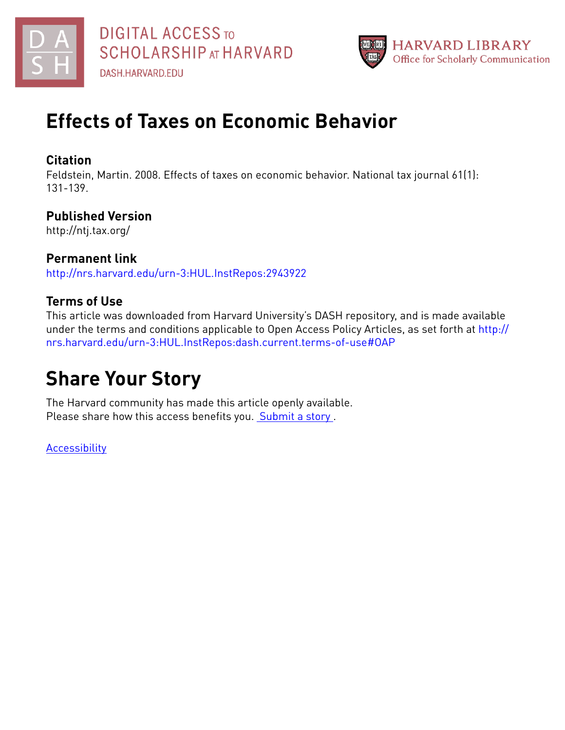



# **Effects of Taxes on Economic Behavior**

# **Citation**

Feldstein, Martin. 2008. Effects of taxes on economic behavior. National tax journal 61(1): 131-139.

# **Published Version**

http://ntj.tax.org/

# **Permanent link**

<http://nrs.harvard.edu/urn-3:HUL.InstRepos:2943922>

# **Terms of Use**

This article was downloaded from Harvard University's DASH repository, and is made available under the terms and conditions applicable to Open Access Policy Articles, as set forth at [http://](http://nrs.harvard.edu/urn-3:HUL.InstRepos:dash.current.terms-of-use#OAP) [nrs.harvard.edu/urn-3:HUL.InstRepos:dash.current.terms-of-use#OAP](http://nrs.harvard.edu/urn-3:HUL.InstRepos:dash.current.terms-of-use#OAP)

# **Share Your Story**

The Harvard community has made this article openly available. Please share how this access benefits you. [Submit](http://osc.hul.harvard.edu/dash/open-access-feedback?handle=&title=Effects%20of%20Taxes%20on%20Economic%20Behavior&community=1/1&collection=1/2&owningCollection1/2&harvardAuthors=d5cb95a6b20d39edc7d1a2236cc37f28&departmentEconomics) a story.

**[Accessibility](https://dash.harvard.edu/pages/accessibility)**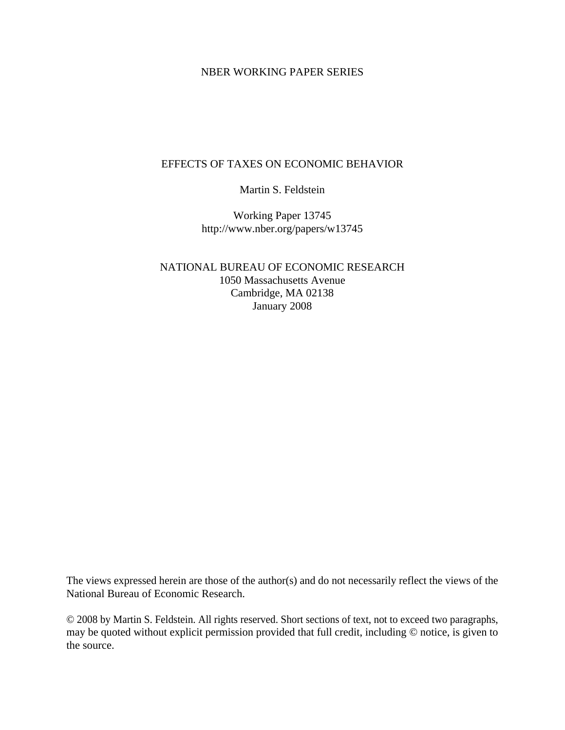## NBER WORKING PAPER SERIES

## EFFECTS OF TAXES ON ECONOMIC BEHAVIOR

Martin S. Feldstein

Working Paper 13745 http://www.nber.org/papers/w13745

NATIONAL BUREAU OF ECONOMIC RESEARCH 1050 Massachusetts Avenue Cambridge, MA 02138 January 2008

The views expressed herein are those of the author(s) and do not necessarily reflect the views of the National Bureau of Economic Research.

© 2008 by Martin S. Feldstein. All rights reserved. Short sections of text, not to exceed two paragraphs, may be quoted without explicit permission provided that full credit, including © notice, is given to the source.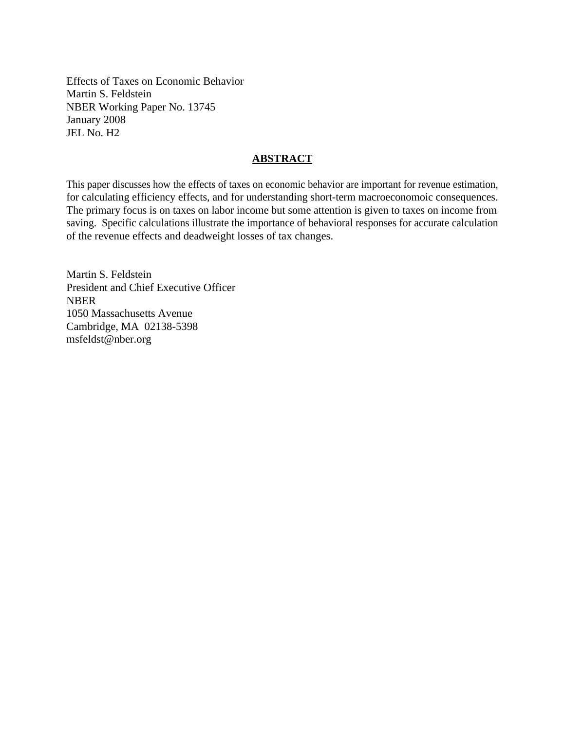Effects of Taxes on Economic Behavior Martin S. Feldstein NBER Working Paper No. 13745 January 2008 JEL No. H2

## **ABSTRACT**

This paper discusses how the effects of taxes on economic behavior are important for revenue estimation, for calculating efficiency effects, and for understanding short-term macroeconomoic consequences. The primary focus is on taxes on labor income but some attention is given to taxes on income from saving. Specific calculations illustrate the importance of behavioral responses for accurate calculation of the revenue effects and deadweight losses of tax changes.

Martin S. Feldstein President and Chief Executive Officer NBER 1050 Massachusetts Avenue Cambridge, MA 02138-5398 msfeldst@nber.org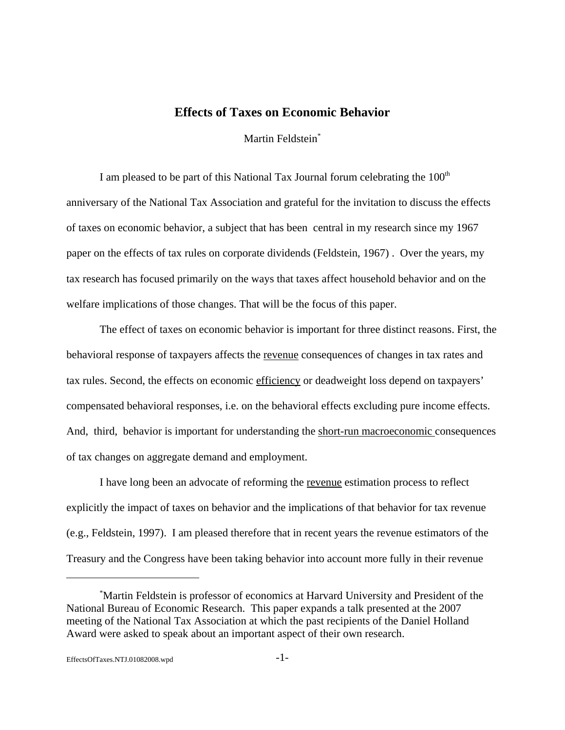# **Effects of Taxes on Economic Behavior**

Martin Feldstein\*

I am pleased to be part of this National Tax Journal forum celebrating the  $100<sup>th</sup>$ anniversary of the National Tax Association and grateful for the invitation to discuss the effects of taxes on economic behavior, a subject that has been central in my research since my 1967 paper on the effects of tax rules on corporate dividends (Feldstein, 1967) . Over the years, my tax research has focused primarily on the ways that taxes affect household behavior and on the welfare implications of those changes. That will be the focus of this paper.

The effect of taxes on economic behavior is important for three distinct reasons. First, the behavioral response of taxpayers affects the revenue consequences of changes in tax rates and tax rules. Second, the effects on economic efficiency or deadweight loss depend on taxpayers' compensated behavioral responses, i.e. on the behavioral effects excluding pure income effects. And, third, behavior is important for understanding the short-run macroeconomic consequences of tax changes on aggregate demand and employment.

I have long been an advocate of reforming the revenue estimation process to reflect explicitly the impact of taxes on behavior and the implications of that behavior for tax revenue (e.g., Feldstein, 1997). I am pleased therefore that in recent years the revenue estimators of the Treasury and the Congress have been taking behavior into account more fully in their revenue

<sup>\*</sup> Martin Feldstein is professor of economics at Harvard University and President of the National Bureau of Economic Research. This paper expands a talk presented at the 2007 meeting of the National Tax Association at which the past recipients of the Daniel Holland Award were asked to speak about an important aspect of their own research.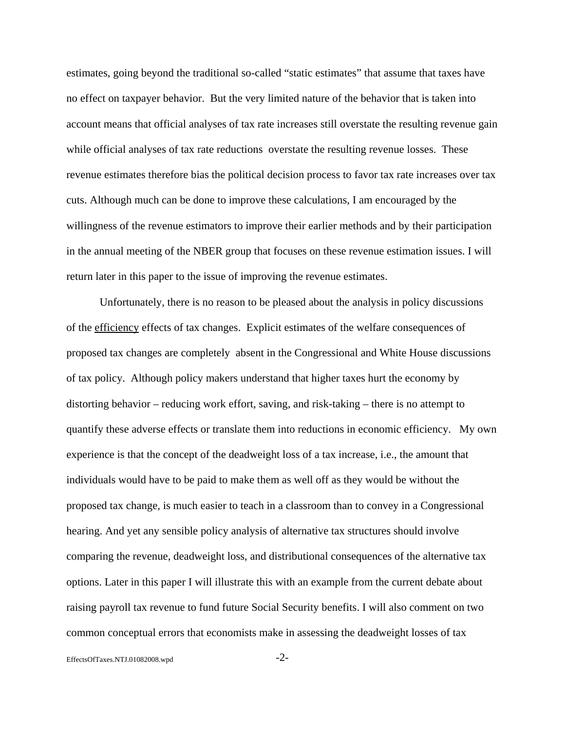estimates, going beyond the traditional so-called "static estimates" that assume that taxes have no effect on taxpayer behavior. But the very limited nature of the behavior that is taken into account means that official analyses of tax rate increases still overstate the resulting revenue gain while official analyses of tax rate reductions overstate the resulting revenue losses. These revenue estimates therefore bias the political decision process to favor tax rate increases over tax cuts. Although much can be done to improve these calculations, I am encouraged by the willingness of the revenue estimators to improve their earlier methods and by their participation in the annual meeting of the NBER group that focuses on these revenue estimation issues. I will return later in this paper to the issue of improving the revenue estimates.

Unfortunately, there is no reason to be pleased about the analysis in policy discussions of the efficiency effects of tax changes. Explicit estimates of the welfare consequences of proposed tax changes are completely absent in the Congressional and White House discussions of tax policy. Although policy makers understand that higher taxes hurt the economy by distorting behavior – reducing work effort, saving, and risk-taking – there is no attempt to quantify these adverse effects or translate them into reductions in economic efficiency. My own experience is that the concept of the deadweight loss of a tax increase, i.e., the amount that individuals would have to be paid to make them as well off as they would be without the proposed tax change, is much easier to teach in a classroom than to convey in a Congressional hearing. And yet any sensible policy analysis of alternative tax structures should involve comparing the revenue, deadweight loss, and distributional consequences of the alternative tax options. Later in this paper I will illustrate this with an example from the current debate about raising payroll tax revenue to fund future Social Security benefits. I will also comment on two common conceptual errors that economists make in assessing the deadweight losses of tax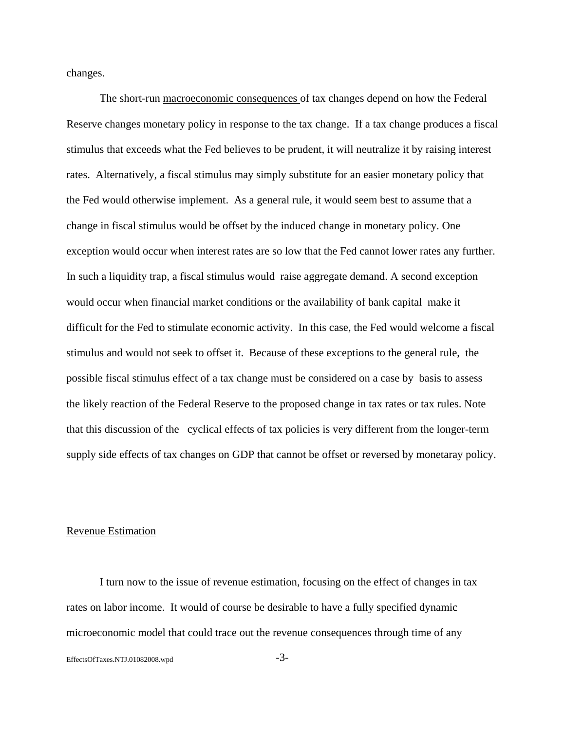changes.

The short-run macroeconomic consequences of tax changes depend on how the Federal Reserve changes monetary policy in response to the tax change. If a tax change produces a fiscal stimulus that exceeds what the Fed believes to be prudent, it will neutralize it by raising interest rates. Alternatively, a fiscal stimulus may simply substitute for an easier monetary policy that the Fed would otherwise implement. As a general rule, it would seem best to assume that a change in fiscal stimulus would be offset by the induced change in monetary policy. One exception would occur when interest rates are so low that the Fed cannot lower rates any further. In such a liquidity trap, a fiscal stimulus would raise aggregate demand. A second exception would occur when financial market conditions or the availability of bank capital make it difficult for the Fed to stimulate economic activity. In this case, the Fed would welcome a fiscal stimulus and would not seek to offset it. Because of these exceptions to the general rule, the possible fiscal stimulus effect of a tax change must be considered on a case by basis to assess the likely reaction of the Federal Reserve to the proposed change in tax rates or tax rules. Note that this discussion of the cyclical effects of tax policies is very different from the longer-term supply side effects of tax changes on GDP that cannot be offset or reversed by monetaray policy.

#### Revenue Estimation

I turn now to the issue of revenue estimation, focusing on the effect of changes in tax rates on labor income. It would of course be desirable to have a fully specified dynamic microeconomic model that could trace out the revenue consequences through time of any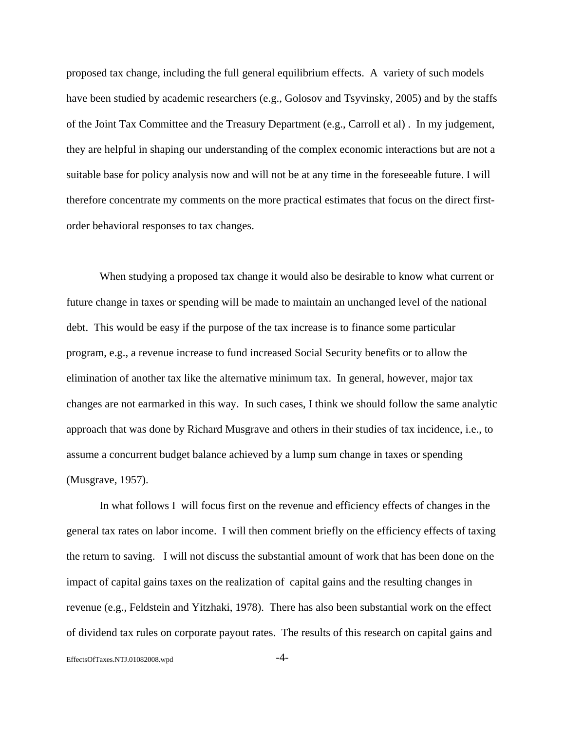proposed tax change, including the full general equilibrium effects. A variety of such models have been studied by academic researchers (e.g., Golosov and Tsyvinsky, 2005) and by the staffs of the Joint Tax Committee and the Treasury Department (e.g., Carroll et al) . In my judgement, they are helpful in shaping our understanding of the complex economic interactions but are not a suitable base for policy analysis now and will not be at any time in the foreseeable future. I will therefore concentrate my comments on the more practical estimates that focus on the direct firstorder behavioral responses to tax changes.

When studying a proposed tax change it would also be desirable to know what current or future change in taxes or spending will be made to maintain an unchanged level of the national debt. This would be easy if the purpose of the tax increase is to finance some particular program, e.g., a revenue increase to fund increased Social Security benefits or to allow the elimination of another tax like the alternative minimum tax. In general, however, major tax changes are not earmarked in this way. In such cases, I think we should follow the same analytic approach that was done by Richard Musgrave and others in their studies of tax incidence, i.e., to assume a concurrent budget balance achieved by a lump sum change in taxes or spending (Musgrave, 1957).

 In what follows I will focus first on the revenue and efficiency effects of changes in the general tax rates on labor income. I will then comment briefly on the efficiency effects of taxing the return to saving. I will not discuss the substantial amount of work that has been done on the impact of capital gains taxes on the realization of capital gains and the resulting changes in revenue (e.g., Feldstein and Yitzhaki, 1978). There has also been substantial work on the effect of dividend tax rules on corporate payout rates. The results of this research on capital gains and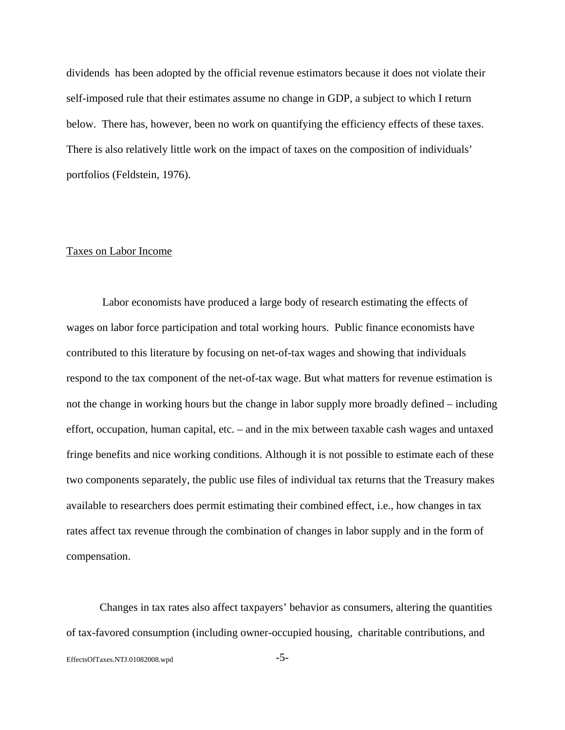dividends has been adopted by the official revenue estimators because it does not violate their self-imposed rule that their estimates assume no change in GDP, a subject to which I return below. There has, however, been no work on quantifying the efficiency effects of these taxes. There is also relatively little work on the impact of taxes on the composition of individuals' portfolios (Feldstein, 1976).

## Taxes on Labor Income

 Labor economists have produced a large body of research estimating the effects of wages on labor force participation and total working hours. Public finance economists have contributed to this literature by focusing on net-of-tax wages and showing that individuals respond to the tax component of the net-of-tax wage. But what matters for revenue estimation is not the change in working hours but the change in labor supply more broadly defined – including effort, occupation, human capital, etc. – and in the mix between taxable cash wages and untaxed fringe benefits and nice working conditions. Although it is not possible to estimate each of these two components separately, the public use files of individual tax returns that the Treasury makes available to researchers does permit estimating their combined effect, i.e., how changes in tax rates affect tax revenue through the combination of changes in labor supply and in the form of compensation.

Changes in tax rates also affect taxpayers' behavior as consumers, altering the quantities of tax-favored consumption (including owner-occupied housing, charitable contributions, and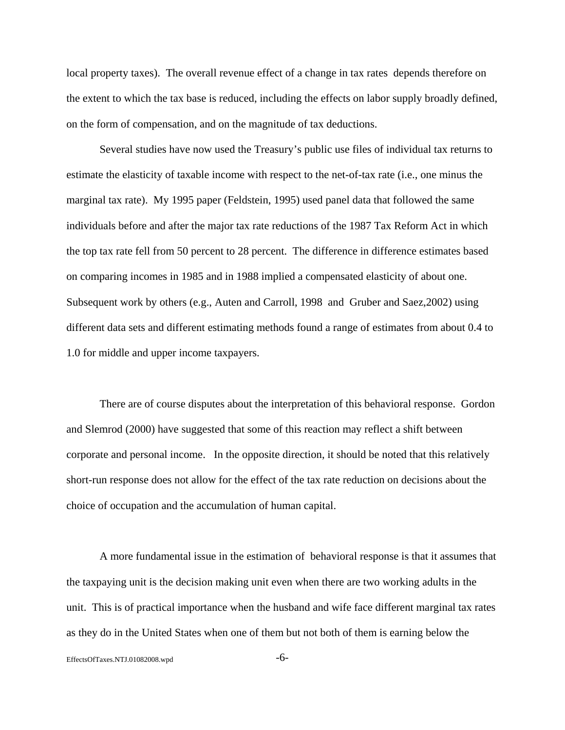local property taxes). The overall revenue effect of a change in tax rates depends therefore on the extent to which the tax base is reduced, including the effects on labor supply broadly defined, on the form of compensation, and on the magnitude of tax deductions.

Several studies have now used the Treasury's public use files of individual tax returns to estimate the elasticity of taxable income with respect to the net-of-tax rate (i.e., one minus the marginal tax rate). My 1995 paper (Feldstein, 1995) used panel data that followed the same individuals before and after the major tax rate reductions of the 1987 Tax Reform Act in which the top tax rate fell from 50 percent to 28 percent. The difference in difference estimates based on comparing incomes in 1985 and in 1988 implied a compensated elasticity of about one. Subsequent work by others (e.g., Auten and Carroll, 1998 and Gruber and Saez,2002) using different data sets and different estimating methods found a range of estimates from about 0.4 to 1.0 for middle and upper income taxpayers.

There are of course disputes about the interpretation of this behavioral response. Gordon and Slemrod (2000) have suggested that some of this reaction may reflect a shift between corporate and personal income. In the opposite direction, it should be noted that this relatively short-run response does not allow for the effect of the tax rate reduction on decisions about the choice of occupation and the accumulation of human capital.

A more fundamental issue in the estimation of behavioral response is that it assumes that the taxpaying unit is the decision making unit even when there are two working adults in the unit. This is of practical importance when the husband and wife face different marginal tax rates as they do in the United States when one of them but not both of them is earning below the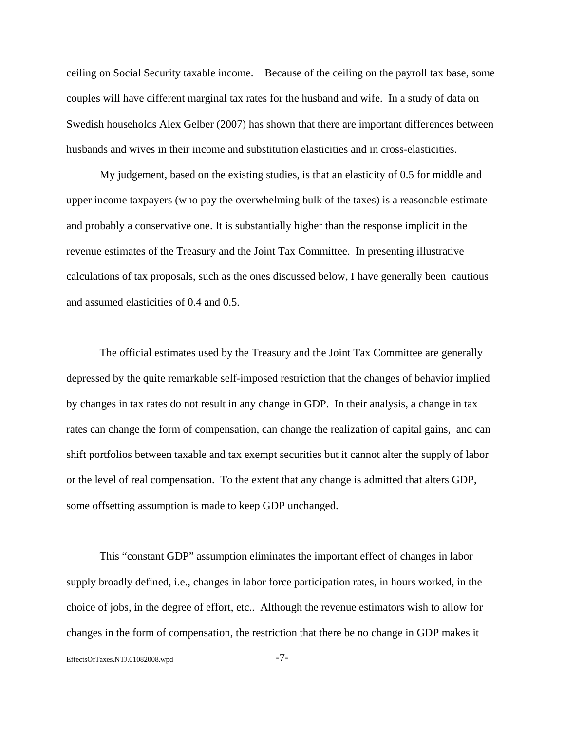ceiling on Social Security taxable income. Because of the ceiling on the payroll tax base, some couples will have different marginal tax rates for the husband and wife. In a study of data on Swedish households Alex Gelber (2007) has shown that there are important differences between husbands and wives in their income and substitution elasticities and in cross-elasticities.

My judgement, based on the existing studies, is that an elasticity of 0.5 for middle and upper income taxpayers (who pay the overwhelming bulk of the taxes) is a reasonable estimate and probably a conservative one. It is substantially higher than the response implicit in the revenue estimates of the Treasury and the Joint Tax Committee. In presenting illustrative calculations of tax proposals, such as the ones discussed below, I have generally been cautious and assumed elasticities of 0.4 and 0.5.

The official estimates used by the Treasury and the Joint Tax Committee are generally depressed by the quite remarkable self-imposed restriction that the changes of behavior implied by changes in tax rates do not result in any change in GDP. In their analysis, a change in tax rates can change the form of compensation, can change the realization of capital gains, and can shift portfolios between taxable and tax exempt securities but it cannot alter the supply of labor or the level of real compensation. To the extent that any change is admitted that alters GDP, some offsetting assumption is made to keep GDP unchanged.

This "constant GDP" assumption eliminates the important effect of changes in labor supply broadly defined, i.e., changes in labor force participation rates, in hours worked, in the choice of jobs, in the degree of effort, etc.. Although the revenue estimators wish to allow for changes in the form of compensation, the restriction that there be no change in GDP makes it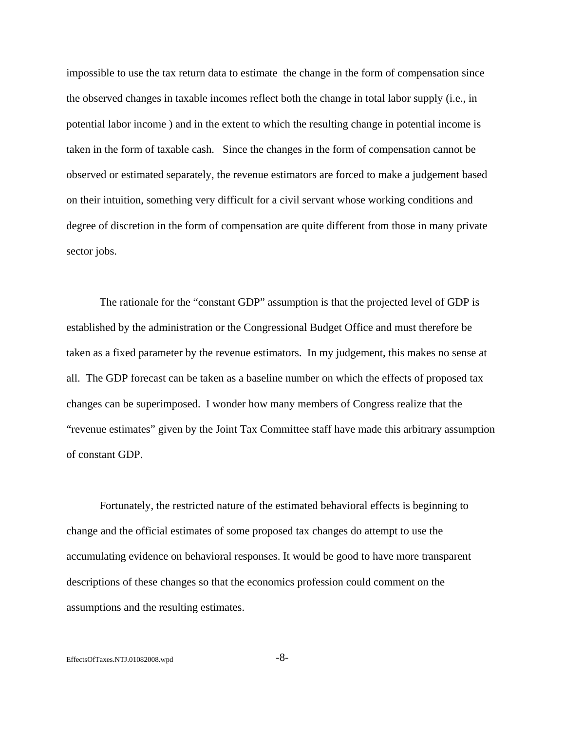impossible to use the tax return data to estimate the change in the form of compensation since the observed changes in taxable incomes reflect both the change in total labor supply (i.e., in potential labor income ) and in the extent to which the resulting change in potential income is taken in the form of taxable cash. Since the changes in the form of compensation cannot be observed or estimated separately, the revenue estimators are forced to make a judgement based on their intuition, something very difficult for a civil servant whose working conditions and degree of discretion in the form of compensation are quite different from those in many private sector jobs.

The rationale for the "constant GDP" assumption is that the projected level of GDP is established by the administration or the Congressional Budget Office and must therefore be taken as a fixed parameter by the revenue estimators. In my judgement, this makes no sense at all. The GDP forecast can be taken as a baseline number on which the effects of proposed tax changes can be superimposed. I wonder how many members of Congress realize that the "revenue estimates" given by the Joint Tax Committee staff have made this arbitrary assumption of constant GDP.

Fortunately, the restricted nature of the estimated behavioral effects is beginning to change and the official estimates of some proposed tax changes do attempt to use the accumulating evidence on behavioral responses. It would be good to have more transparent descriptions of these changes so that the economics profession could comment on the assumptions and the resulting estimates.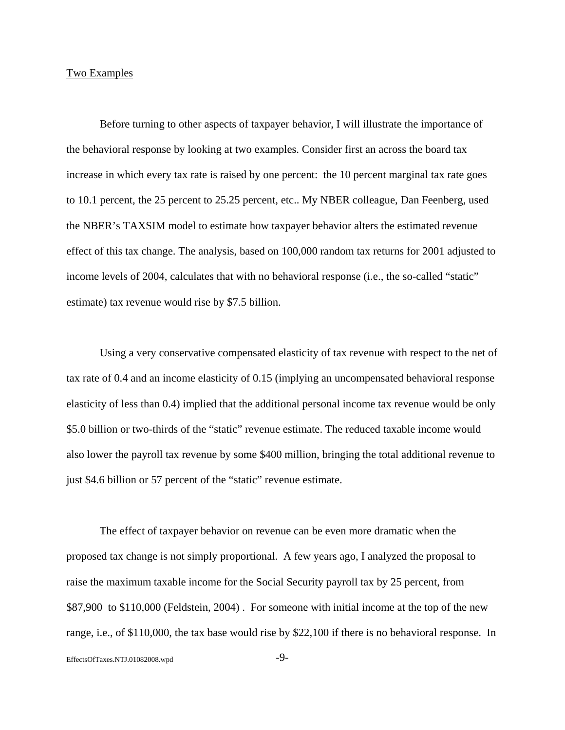## Two Examples

Before turning to other aspects of taxpayer behavior, I will illustrate the importance of the behavioral response by looking at two examples. Consider first an across the board tax increase in which every tax rate is raised by one percent: the 10 percent marginal tax rate goes to 10.1 percent, the 25 percent to 25.25 percent, etc.. My NBER colleague, Dan Feenberg, used the NBER's TAXSIM model to estimate how taxpayer behavior alters the estimated revenue effect of this tax change. The analysis, based on 100,000 random tax returns for 2001 adjusted to income levels of 2004, calculates that with no behavioral response (i.e., the so-called "static" estimate) tax revenue would rise by \$7.5 billion.

Using a very conservative compensated elasticity of tax revenue with respect to the net of tax rate of 0.4 and an income elasticity of 0.15 (implying an uncompensated behavioral response elasticity of less than 0.4) implied that the additional personal income tax revenue would be only \$5.0 billion or two-thirds of the "static" revenue estimate. The reduced taxable income would also lower the payroll tax revenue by some \$400 million, bringing the total additional revenue to just \$4.6 billion or 57 percent of the "static" revenue estimate.

The effect of taxpayer behavior on revenue can be even more dramatic when the proposed tax change is not simply proportional. A few years ago, I analyzed the proposal to raise the maximum taxable income for the Social Security payroll tax by 25 percent, from \$87,900 to \$110,000 (Feldstein, 2004) . For someone with initial income at the top of the new range, i.e., of \$110,000, the tax base would rise by \$22,100 if there is no behavioral response. In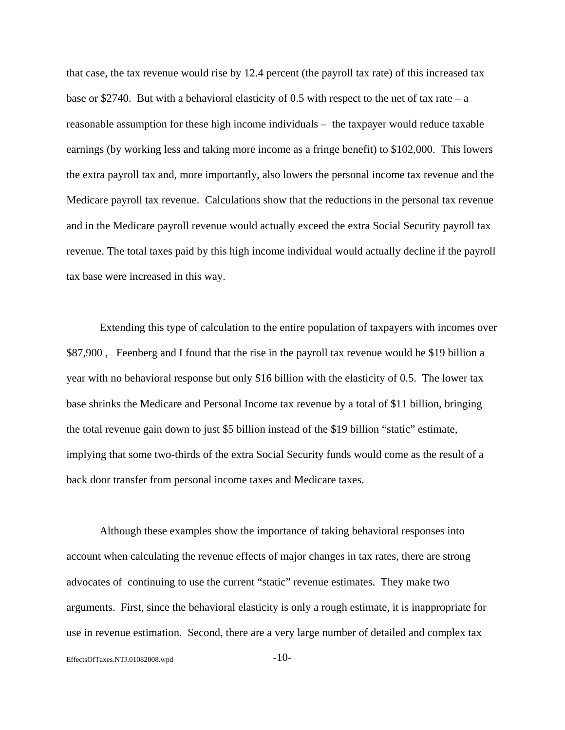that case, the tax revenue would rise by 12.4 percent (the payroll tax rate) of this increased tax base or \$2740. But with a behavioral elasticity of 0.5 with respect to the net of tax rate – a reasonable assumption for these high income individuals – the taxpayer would reduce taxable earnings (by working less and taking more income as a fringe benefit) to \$102,000. This lowers the extra payroll tax and, more importantly, also lowers the personal income tax revenue and the Medicare payroll tax revenue. Calculations show that the reductions in the personal tax revenue and in the Medicare payroll revenue would actually exceed the extra Social Security payroll tax revenue. The total taxes paid by this high income individual would actually decline if the payroll tax base were increased in this way.

Extending this type of calculation to the entire population of taxpayers with incomes over \$87,900, Feenberg and I found that the rise in the payroll tax revenue would be \$19 billion a year with no behavioral response but only \$16 billion with the elasticity of 0.5. The lower tax base shrinks the Medicare and Personal Income tax revenue by a total of \$11 billion, bringing the total revenue gain down to just \$5 billion instead of the \$19 billion "static" estimate, implying that some two-thirds of the extra Social Security funds would come as the result of a back door transfer from personal income taxes and Medicare taxes.

Although these examples show the importance of taking behavioral responses into account when calculating the revenue effects of major changes in tax rates, there are strong advocates of continuing to use the current "static" revenue estimates. They make two arguments. First, since the behavioral elasticity is only a rough estimate, it is inappropriate for use in revenue estimation. Second, there are a very large number of detailed and complex tax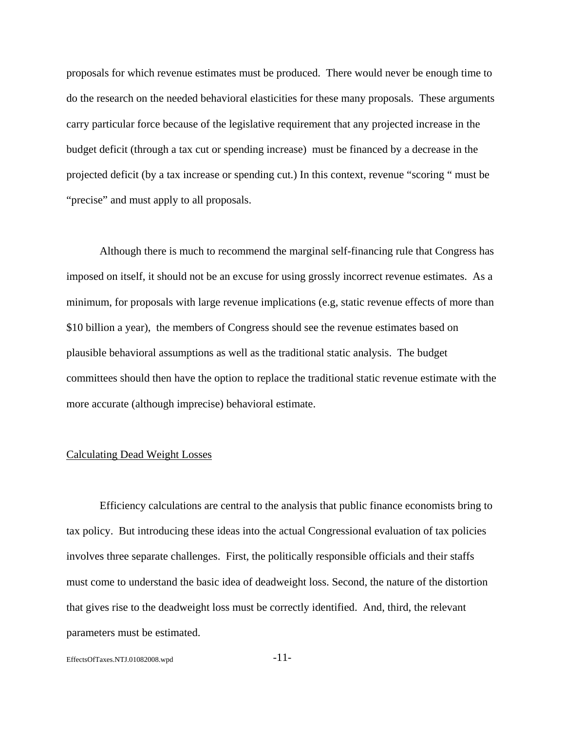proposals for which revenue estimates must be produced. There would never be enough time to do the research on the needed behavioral elasticities for these many proposals. These arguments carry particular force because of the legislative requirement that any projected increase in the budget deficit (through a tax cut or spending increase) must be financed by a decrease in the projected deficit (by a tax increase or spending cut.) In this context, revenue "scoring " must be "precise" and must apply to all proposals.

Although there is much to recommend the marginal self-financing rule that Congress has imposed on itself, it should not be an excuse for using grossly incorrect revenue estimates. As a minimum, for proposals with large revenue implications (e.g, static revenue effects of more than \$10 billion a year), the members of Congress should see the revenue estimates based on plausible behavioral assumptions as well as the traditional static analysis. The budget committees should then have the option to replace the traditional static revenue estimate with the more accurate (although imprecise) behavioral estimate.

#### Calculating Dead Weight Losses

Efficiency calculations are central to the analysis that public finance economists bring to tax policy. But introducing these ideas into the actual Congressional evaluation of tax policies involves three separate challenges. First, the politically responsible officials and their staffs must come to understand the basic idea of deadweight loss. Second, the nature of the distortion that gives rise to the deadweight loss must be correctly identified. And, third, the relevant parameters must be estimated.

EffectsOfTaxes.NTJ.01082008.wpd -11-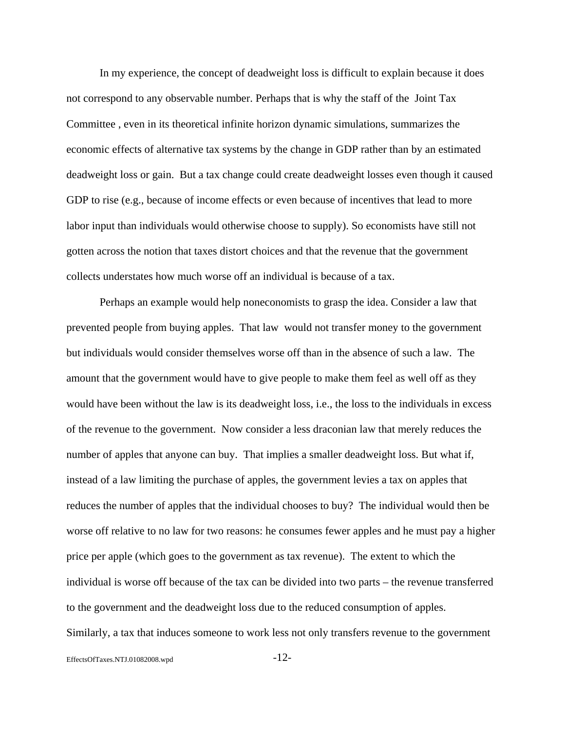In my experience, the concept of deadweight loss is difficult to explain because it does not correspond to any observable number. Perhaps that is why the staff of the Joint Tax Committee , even in its theoretical infinite horizon dynamic simulations, summarizes the economic effects of alternative tax systems by the change in GDP rather than by an estimated deadweight loss or gain. But a tax change could create deadweight losses even though it caused GDP to rise (e.g., because of income effects or even because of incentives that lead to more labor input than individuals would otherwise choose to supply). So economists have still not gotten across the notion that taxes distort choices and that the revenue that the government collects understates how much worse off an individual is because of a tax.

Perhaps an example would help noneconomists to grasp the idea. Consider a law that prevented people from buying apples. That law would not transfer money to the government but individuals would consider themselves worse off than in the absence of such a law. The amount that the government would have to give people to make them feel as well off as they would have been without the law is its deadweight loss, i.e., the loss to the individuals in excess of the revenue to the government. Now consider a less draconian law that merely reduces the number of apples that anyone can buy. That implies a smaller deadweight loss. But what if, instead of a law limiting the purchase of apples, the government levies a tax on apples that reduces the number of apples that the individual chooses to buy? The individual would then be worse off relative to no law for two reasons: he consumes fewer apples and he must pay a higher price per apple (which goes to the government as tax revenue). The extent to which the individual is worse off because of the tax can be divided into two parts – the revenue transferred to the government and the deadweight loss due to the reduced consumption of apples. Similarly, a tax that induces someone to work less not only transfers revenue to the government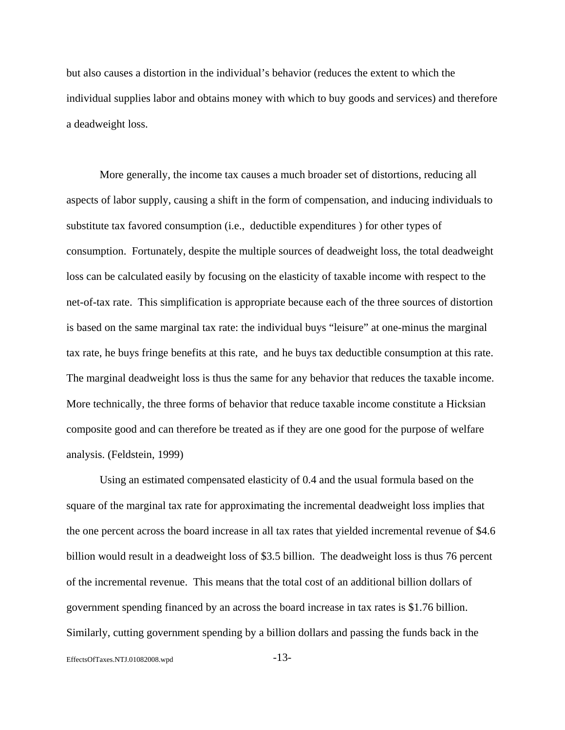but also causes a distortion in the individual's behavior (reduces the extent to which the individual supplies labor and obtains money with which to buy goods and services) and therefore a deadweight loss.

More generally, the income tax causes a much broader set of distortions, reducing all aspects of labor supply, causing a shift in the form of compensation, and inducing individuals to substitute tax favored consumption (i.e., deductible expenditures ) for other types of consumption. Fortunately, despite the multiple sources of deadweight loss, the total deadweight loss can be calculated easily by focusing on the elasticity of taxable income with respect to the net-of-tax rate. This simplification is appropriate because each of the three sources of distortion is based on the same marginal tax rate: the individual buys "leisure" at one-minus the marginal tax rate, he buys fringe benefits at this rate, and he buys tax deductible consumption at this rate. The marginal deadweight loss is thus the same for any behavior that reduces the taxable income. More technically, the three forms of behavior that reduce taxable income constitute a Hicksian composite good and can therefore be treated as if they are one good for the purpose of welfare analysis. (Feldstein, 1999)

Using an estimated compensated elasticity of 0.4 and the usual formula based on the square of the marginal tax rate for approximating the incremental deadweight loss implies that the one percent across the board increase in all tax rates that yielded incremental revenue of \$4.6 billion would result in a deadweight loss of \$3.5 billion. The deadweight loss is thus 76 percent of the incremental revenue. This means that the total cost of an additional billion dollars of government spending financed by an across the board increase in tax rates is \$1.76 billion. Similarly, cutting government spending by a billion dollars and passing the funds back in the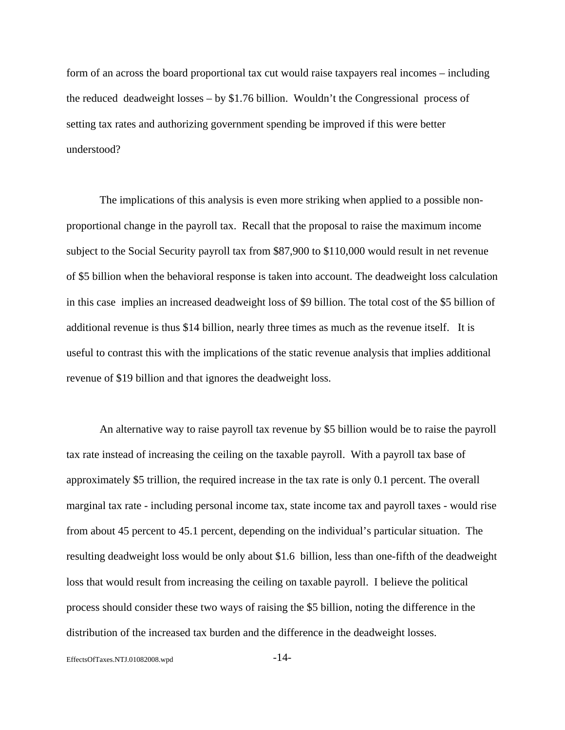form of an across the board proportional tax cut would raise taxpayers real incomes – including the reduced deadweight losses – by \$1.76 billion. Wouldn't the Congressional process of setting tax rates and authorizing government spending be improved if this were better understood?

The implications of this analysis is even more striking when applied to a possible nonproportional change in the payroll tax. Recall that the proposal to raise the maximum income subject to the Social Security payroll tax from \$87,900 to \$110,000 would result in net revenue of \$5 billion when the behavioral response is taken into account. The deadweight loss calculation in this case implies an increased deadweight loss of \$9 billion. The total cost of the \$5 billion of additional revenue is thus \$14 billion, nearly three times as much as the revenue itself. It is useful to contrast this with the implications of the static revenue analysis that implies additional revenue of \$19 billion and that ignores the deadweight loss.

An alternative way to raise payroll tax revenue by \$5 billion would be to raise the payroll tax rate instead of increasing the ceiling on the taxable payroll. With a payroll tax base of approximately \$5 trillion, the required increase in the tax rate is only 0.1 percent. The overall marginal tax rate - including personal income tax, state income tax and payroll taxes - would rise from about 45 percent to 45.1 percent, depending on the individual's particular situation. The resulting deadweight loss would be only about \$1.6 billion, less than one-fifth of the deadweight loss that would result from increasing the ceiling on taxable payroll. I believe the political process should consider these two ways of raising the \$5 billion, noting the difference in the distribution of the increased tax burden and the difference in the deadweight losses.

EffectsOfTaxes.NTJ.01082008.wpd -14-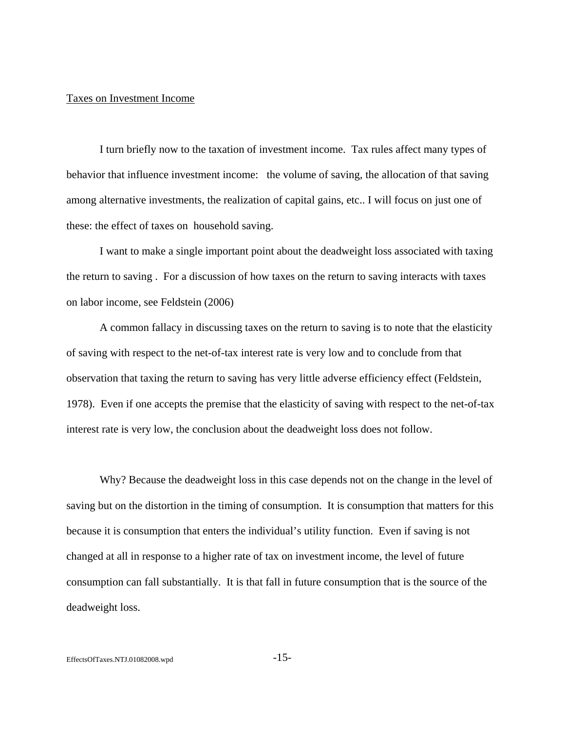### Taxes on Investment Income

I turn briefly now to the taxation of investment income. Tax rules affect many types of behavior that influence investment income: the volume of saving, the allocation of that saving among alternative investments, the realization of capital gains, etc.. I will focus on just one of these: the effect of taxes on household saving.

I want to make a single important point about the deadweight loss associated with taxing the return to saving . For a discussion of how taxes on the return to saving interacts with taxes on labor income, see Feldstein (2006)

A common fallacy in discussing taxes on the return to saving is to note that the elasticity of saving with respect to the net-of-tax interest rate is very low and to conclude from that observation that taxing the return to saving has very little adverse efficiency effect (Feldstein, 1978). Even if one accepts the premise that the elasticity of saving with respect to the net-of-tax interest rate is very low, the conclusion about the deadweight loss does not follow.

Why? Because the deadweight loss in this case depends not on the change in the level of saving but on the distortion in the timing of consumption. It is consumption that matters for this because it is consumption that enters the individual's utility function. Even if saving is not changed at all in response to a higher rate of tax on investment income, the level of future consumption can fall substantially. It is that fall in future consumption that is the source of the deadweight loss.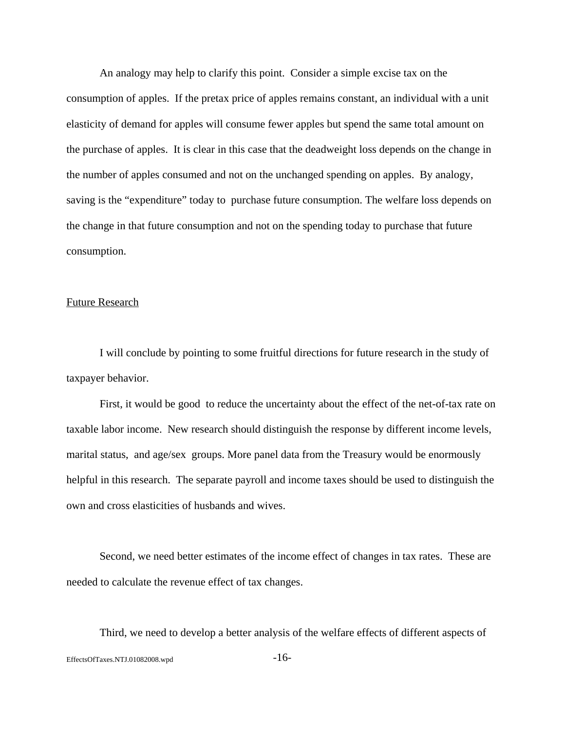An analogy may help to clarify this point. Consider a simple excise tax on the consumption of apples. If the pretax price of apples remains constant, an individual with a unit elasticity of demand for apples will consume fewer apples but spend the same total amount on the purchase of apples. It is clear in this case that the deadweight loss depends on the change in the number of apples consumed and not on the unchanged spending on apples. By analogy, saving is the "expenditure" today to purchase future consumption. The welfare loss depends on the change in that future consumption and not on the spending today to purchase that future consumption.

#### Future Research

I will conclude by pointing to some fruitful directions for future research in the study of taxpayer behavior.

First, it would be good to reduce the uncertainty about the effect of the net-of-tax rate on taxable labor income. New research should distinguish the response by different income levels, marital status, and age/sex groups. More panel data from the Treasury would be enormously helpful in this research. The separate payroll and income taxes should be used to distinguish the own and cross elasticities of husbands and wives.

Second, we need better estimates of the income effect of changes in tax rates. These are needed to calculate the revenue effect of tax changes.

EffectsOfTaxes.NTJ.01082008.wpd  $-16$ -Third, we need to develop a better analysis of the welfare effects of different aspects of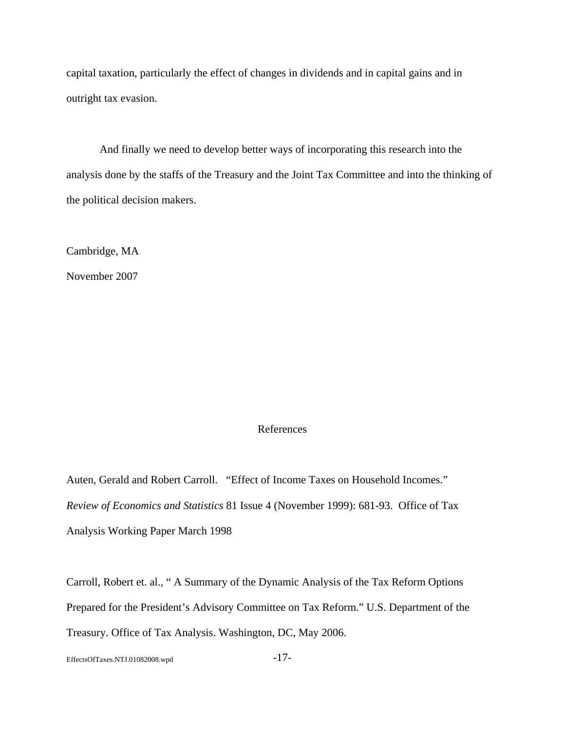capital taxation, particularly the effect of changes in dividends and in capital gains and in outright tax evasion.

And finally we need to develop better ways of incorporating this research into the analysis done by the staffs of the Treasury and the Joint Tax Committee and into the thinking of the political decision makers.

Cambridge, MA

November 2007

#### References

Auten, Gerald and Robert Carroll. "Effect of Income Taxes on Household Incomes." *Review of Economics and Statistics* 81 Issue 4 (November 1999): 681-93. Office of Tax Analysis Working Paper March 1998

Carroll, Robert et. al., " A Summary of the Dynamic Analysis of the Tax Reform Options Prepared for the President's Advisory Committee on Tax Reform." U.S. Department of the Treasury. Office of Tax Analysis. Washington, DC, May 2006.

EffectsOfTaxes.NTJ.01082008.wpd -17-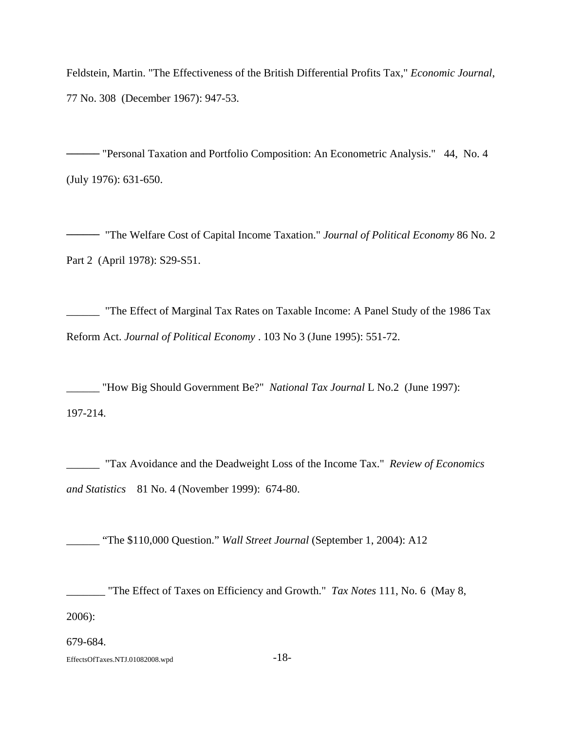Feldstein, Martin. "The Effectiveness of the British Differential Profits Tax," *Economic Journal*, 77 No. 308 (December 1967): 947-53.

**\_\_\_\_\_\_** "Personal Taxation and Portfolio Composition: An Econometric Analysis." 44, No. 4 (July 1976): 631-650.

**\_\_\_\_\_\_** "The Welfare Cost of Capital Income Taxation." *Journal of Political Economy* 86 No. 2 Part 2 (April 1978): S29-S51.

\_\_\_\_\_\_ "The Effect of Marginal Tax Rates on Taxable Income: A Panel Study of the 1986 Tax Reform Act. *Journal of Political Economy* . 103 No 3 (June 1995): 551-72.

\_\_\_\_\_\_ "How Big Should Government Be?" *National Tax Journal* L No.2 (June 1997): 197-214.

\_\_\_\_\_\_ "Tax Avoidance and the Deadweight Loss of the Income Tax." *Review of Economics and Statistics* 81 No. 4 (November 1999): 674-80.

\_\_\_\_\_\_ "The \$110,000 Question." *Wall Street Journal* (September 1, 2004): A12

\_\_\_\_\_\_\_ "The Effect of Taxes on Efficiency and Growth." *Tax Notes* 111, No. 6 (May 8, 2006):

679-684.

EffectsOfTaxes.NTJ.01082008.wpd -18-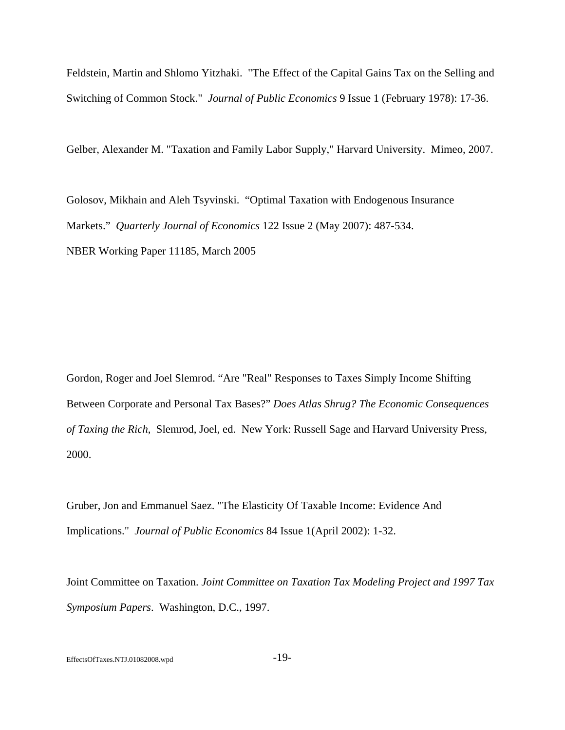Feldstein, Martin and Shlomo Yitzhaki. "The Effect of the Capital Gains Tax on the Selling and Switching of Common Stock." *Journal of Public Economics* 9 Issue 1 (February 1978): 17-36.

Gelber, Alexander M. "Taxation and Family Labor Supply," Harvard University. Mimeo, 2007.

Golosov, Mikhain and Aleh Tsyvinski. "Optimal Taxation with Endogenous Insurance Markets." *Quarterly Journal of Economics* 122 Issue 2 (May 2007): 487-534. NBER Working Paper 11185, March 2005

Gordon, Roger and Joel Slemrod. "Are "Real" Responses to Taxes Simply Income Shifting Between Corporate and Personal Tax Bases?" *Does Atlas Shrug? The Economic Consequences of Taxing the Rich*, Slemrod, Joel, ed. New York: Russell Sage and Harvard University Press, 2000.

Gruber, Jon and Emmanuel Saez. "The Elasticity Of Taxable Income: Evidence And Implications." *Journal of Public Economics* 84 Issue 1(April 2002): 1-32.

Joint Committee on Taxation. *Joint Committee on Taxation Tax Modeling Project and 1997 Tax Symposium Papers*. Washington, D.C., 1997.

EffectsOfTaxes.NTJ.01082008.wpd -19-